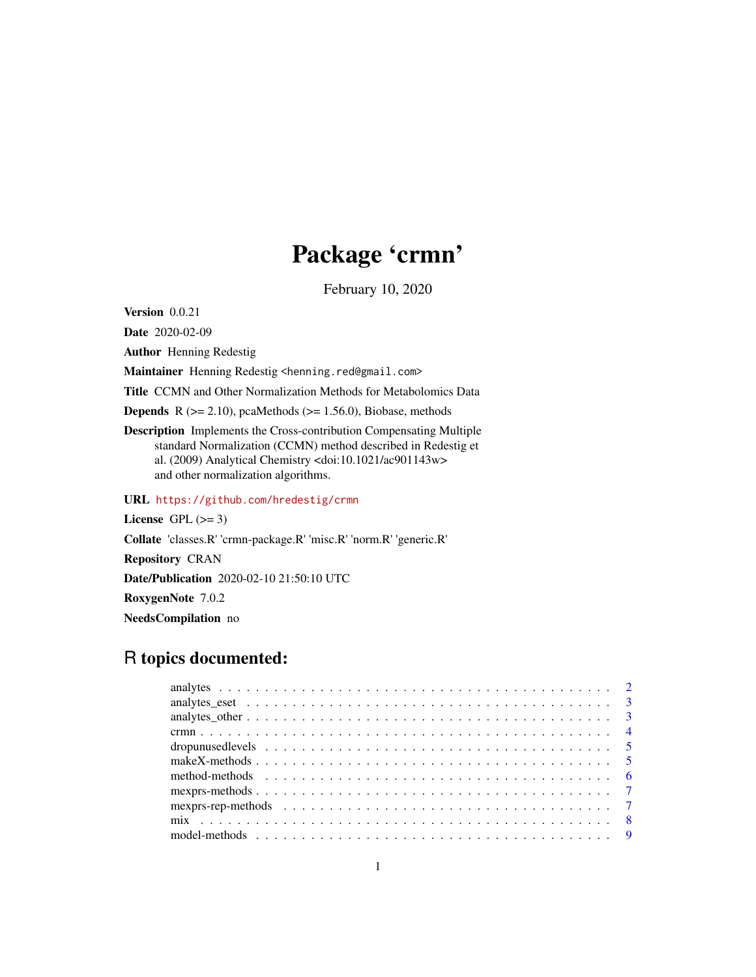# Package 'crmn'

February 10, 2020

Version 0.0.21

Date 2020-02-09

Author Henning Redestig

Maintainer Henning Redestig <henning.red@gmail.com>

Title CCMN and Other Normalization Methods for Metabolomics Data

**Depends** R  $(>= 2.10)$ , pcaMethods  $(>= 1.56.0)$ , Biobase, methods

Description Implements the Cross-contribution Compensating Multiple standard Normalization (CCMN) method described in Redestig et al. (2009) Analytical Chemistry <doi:10.1021/ac901143w> and other normalization algorithms.

URL <https://github.com/hredestig/crmn>

License GPL  $(>= 3)$ 

Collate 'classes.R' 'crmn-package.R' 'misc.R' 'norm.R' 'generic.R'

Repository CRAN

Date/Publication 2020-02-10 21:50:10 UTC

RoxygenNote 7.0.2

NeedsCompilation no

# R topics documented:

| make X-methods $\ldots \ldots \ldots \ldots \ldots \ldots \ldots \ldots \ldots \ldots \ldots \ldots \ldots$ |
|-------------------------------------------------------------------------------------------------------------|
|                                                                                                             |
|                                                                                                             |
|                                                                                                             |
|                                                                                                             |
|                                                                                                             |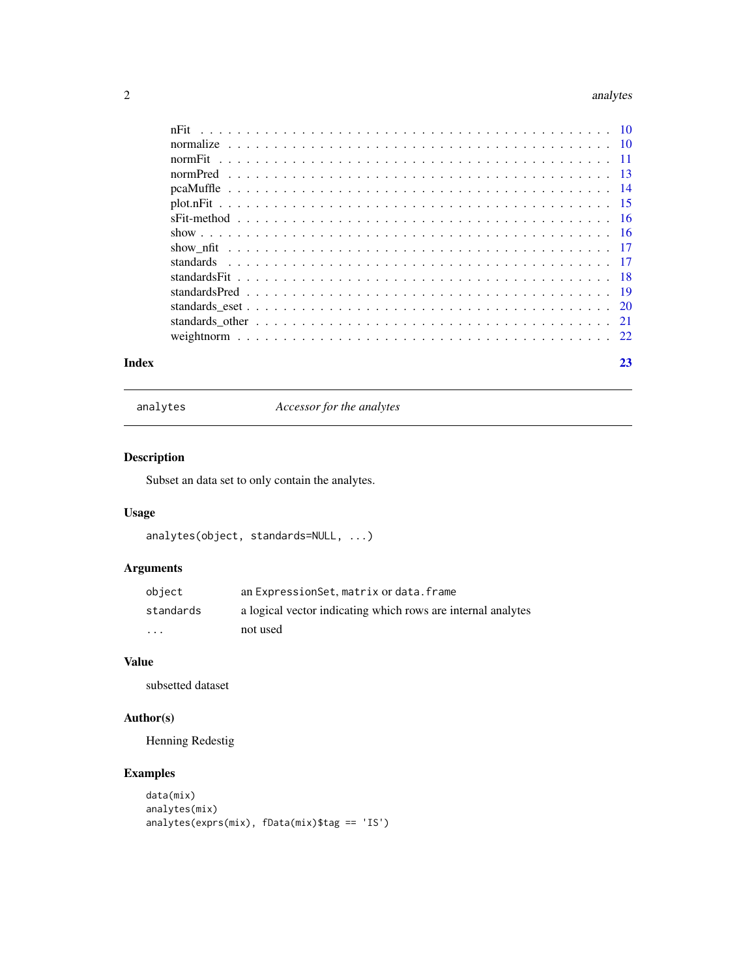#### <span id="page-1-0"></span>2 analytes analytes and the contract of the contract of the contract of the contract of the contract of the contract of the contract of the contract of the contract of the contract of the contract of the contract of the co

| Index | 23 |
|-------|----|

analytes *Accessor for the analytes*

# Description

Subset an data set to only contain the analytes.

# Usage

```
analytes(object, standards=NULL, ...)
```
# Arguments

| object    | an ExpressionSet, matrix or data. frame                      |
|-----------|--------------------------------------------------------------|
| standards | a logical vector indicating which rows are internal analytes |
| $\cdots$  | not used                                                     |

# Value

subsetted dataset

# Author(s)

Henning Redestig

# Examples

```
data(mix)
analytes(mix)
analytes(exprs(mix), fData(mix)$tag == 'IS')
```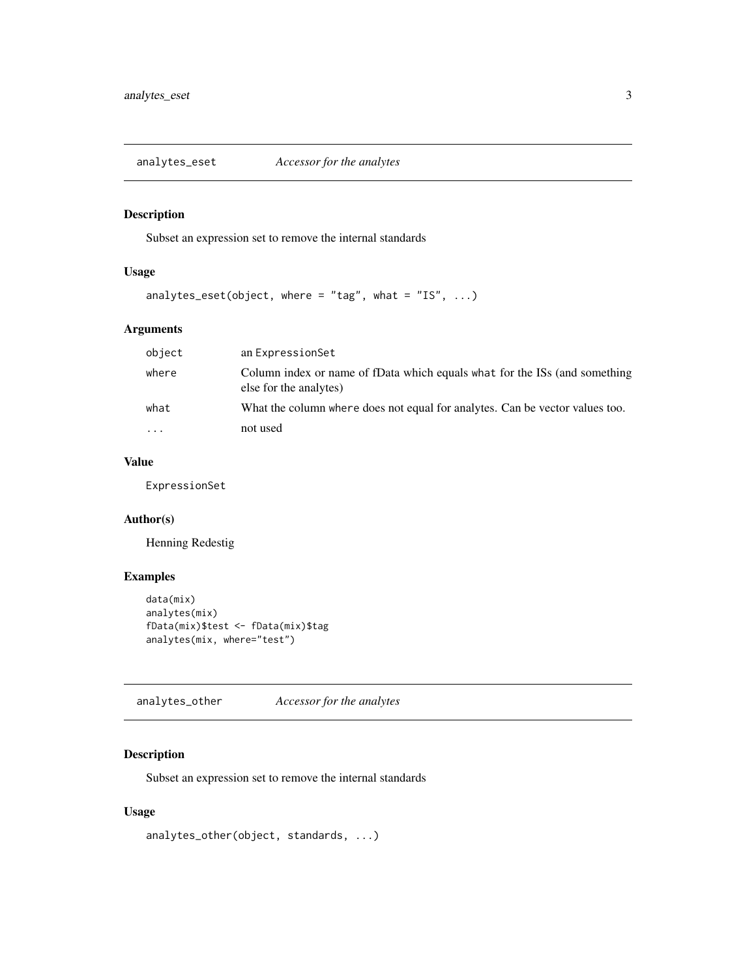<span id="page-2-0"></span>analytes\_eset *Accessor for the analytes*

# Description

Subset an expression set to remove the internal standards

# Usage

```
analytes_eset(object, where = "tag", what = "IS", \dots)
```
# Arguments

| object   | an ExpressionSet                                                                                     |
|----------|------------------------------------------------------------------------------------------------------|
| where    | Column index or name of fData which equals what for the ISs (and something<br>else for the analytes) |
| what     | What the column where does not equal for analytes. Can be vector values too.                         |
| $\cdots$ | not used                                                                                             |

# Value

ExpressionSet

# Author(s)

Henning Redestig

# Examples

```
data(mix)
analytes(mix)
fData(mix)$test <- fData(mix)$tag
analytes(mix, where="test")
```
analytes\_other *Accessor for the analytes*

# Description

Subset an expression set to remove the internal standards

#### Usage

analytes\_other(object, standards, ...)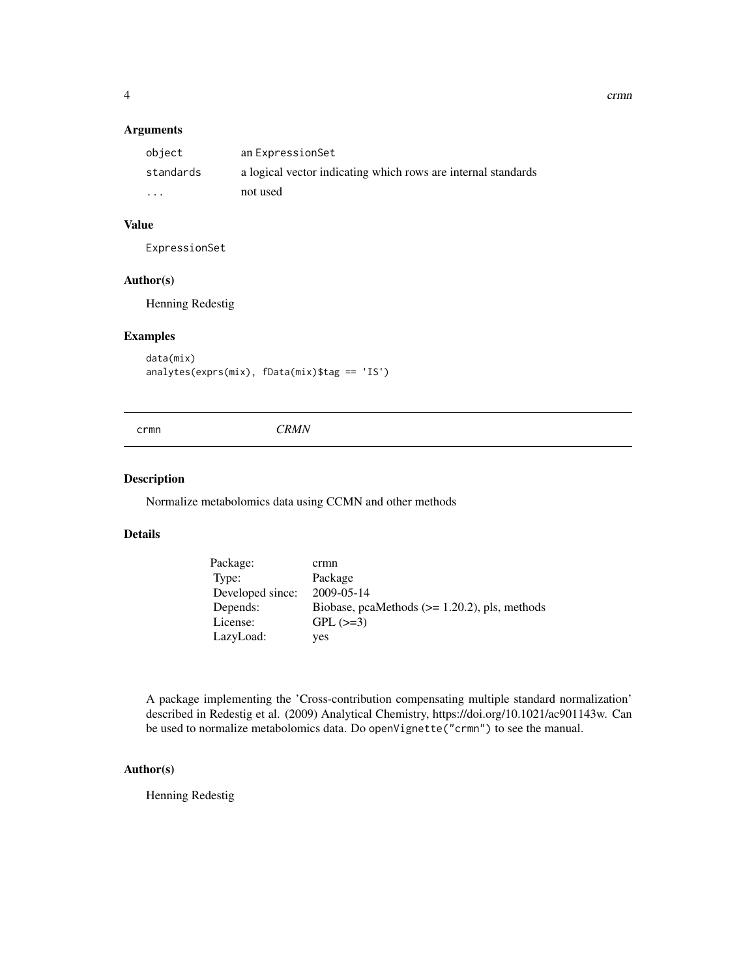<span id="page-3-0"></span>4 crmn control of the control of the control of the control of the control of the control of the control of the control of the control of the control of the control of the control of the control of the control of the contr

#### Arguments

| object                  | an ExpressionSet                                              |
|-------------------------|---------------------------------------------------------------|
| standards               | a logical vector indicating which rows are internal standards |
| $\cdot$ $\cdot$ $\cdot$ | not used                                                      |

#### Value

ExpressionSet

#### Author(s)

Henning Redestig

# Examples

```
data(mix)
analytes(exprs(mix), fData(mix)$tag == 'IS')
```
crmn *CRMN*

#### Description

Normalize metabolomics data using CCMN and other methods

#### Details

| Package:         | crmn                                             |
|------------------|--------------------------------------------------|
| Type:            | Package                                          |
| Developed since: | 2009-05-14                                       |
| Depends:         | Biobase, pcaMethods $(>= 1.20.2)$ , pls, methods |
| License:         | $GPL (=3)$                                       |
| LazyLoad:        | yes                                              |

A package implementing the 'Cross-contribution compensating multiple standard normalization' described in Redestig et al. (2009) Analytical Chemistry, https://doi.org/10.1021/ac901143w. Can be used to normalize metabolomics data. Do openVignette("crmn") to see the manual.

# Author(s)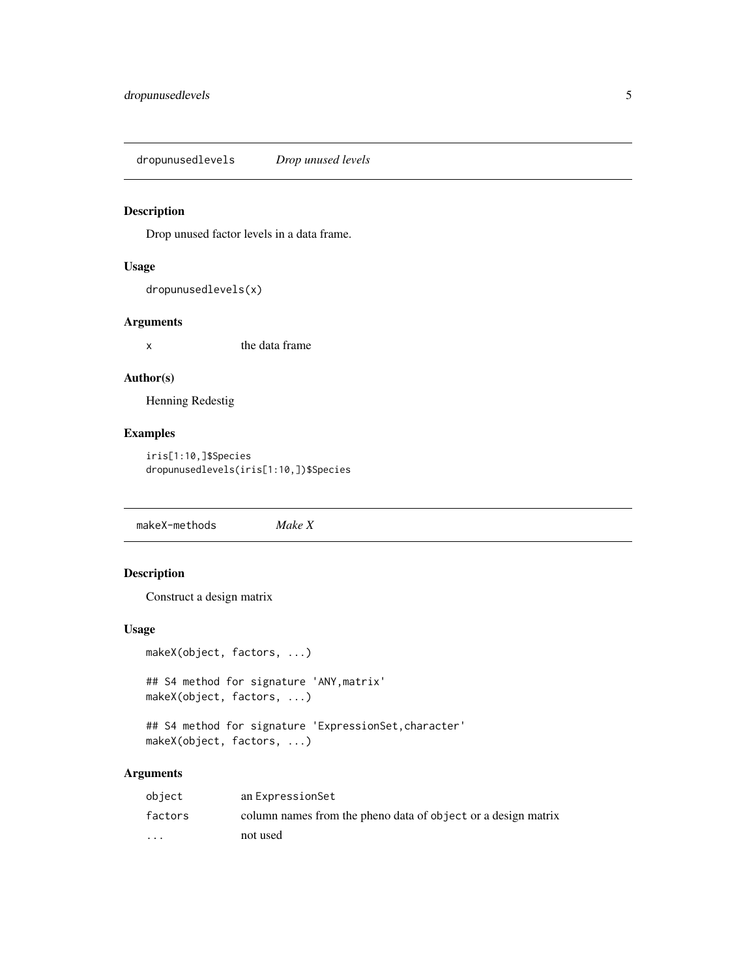<span id="page-4-0"></span>dropunusedlevels *Drop unused levels*

# Description

Drop unused factor levels in a data frame.

#### Usage

```
dropunusedlevels(x)
```
#### Arguments

x the data frame

#### Author(s)

Henning Redestig

# Examples

iris[1:10,]\$Species dropunusedlevels(iris[1:10,])\$Species

makeX-methods *Make X*

# Description

Construct a design matrix

#### Usage

```
makeX(object, factors, ...)
```

```
## S4 method for signature 'ANY,matrix'
makeX(object, factors, ...)
```

```
## S4 method for signature 'ExpressionSet, character'
makeX(object, factors, ...)
```
# Arguments

| object                  | an ExpressionSet                                              |
|-------------------------|---------------------------------------------------------------|
| factors                 | column names from the pheno data of object or a design matrix |
| $\cdot$ $\cdot$ $\cdot$ | not used                                                      |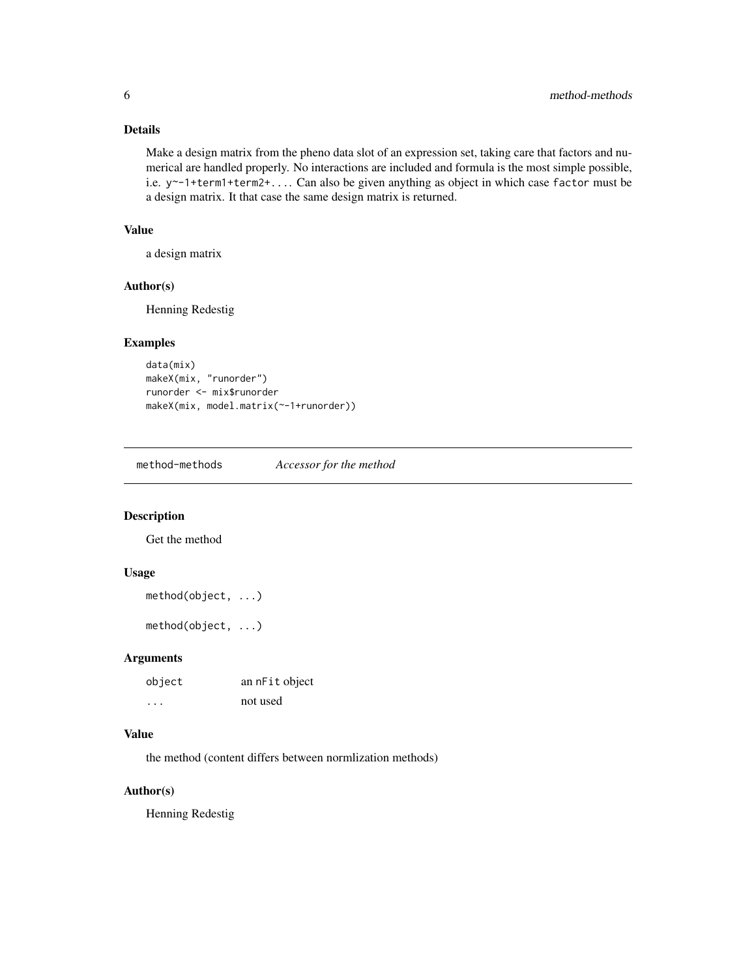#### <span id="page-5-0"></span>Details

Make a design matrix from the pheno data slot of an expression set, taking care that factors and numerical are handled properly. No interactions are included and formula is the most simple possible, i.e. y~-1+term1+term2+.... Can also be given anything as object in which case factor must be a design matrix. It that case the same design matrix is returned.

#### Value

a design matrix

#### Author(s)

Henning Redestig

# Examples

```
data(mix)
makeX(mix, "runorder")
runorder <- mix$runorder
makeX(mix, model.matrix(~-1+runorder))
```
method-methods *Accessor for the method*

# Description

Get the method

#### Usage

```
method(object, ...)
```
method(object, ...)

#### Arguments

| object  | an nFit object |
|---------|----------------|
| $\cdot$ | not used       |

#### Value

the method (content differs between normlization methods)

#### Author(s)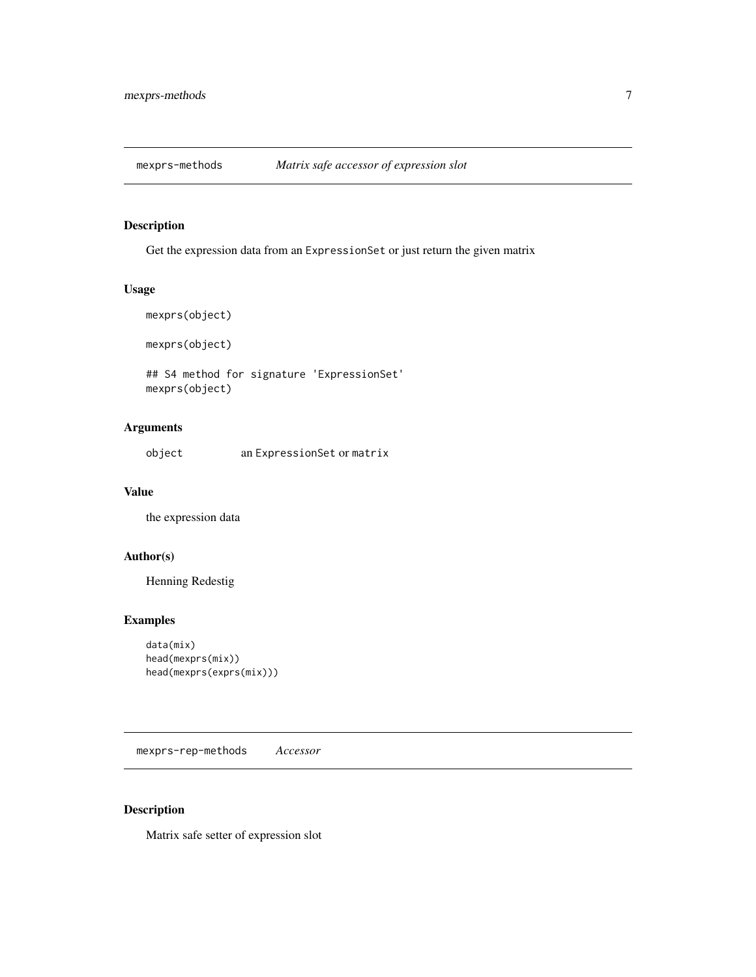<span id="page-6-0"></span>

Get the expression data from an ExpressionSet or just return the given matrix

#### Usage

```
mexprs(object)
```
mexprs(object)

## S4 method for signature 'ExpressionSet' mexprs(object)

# Arguments

object an ExpressionSet or matrix

#### Value

the expression data

# Author(s)

Henning Redestig

# Examples

```
data(mix)
head(mexprs(mix))
head(mexprs(exprs(mix)))
```
mexprs-rep-methods *Accessor*

# Description

Matrix safe setter of expression slot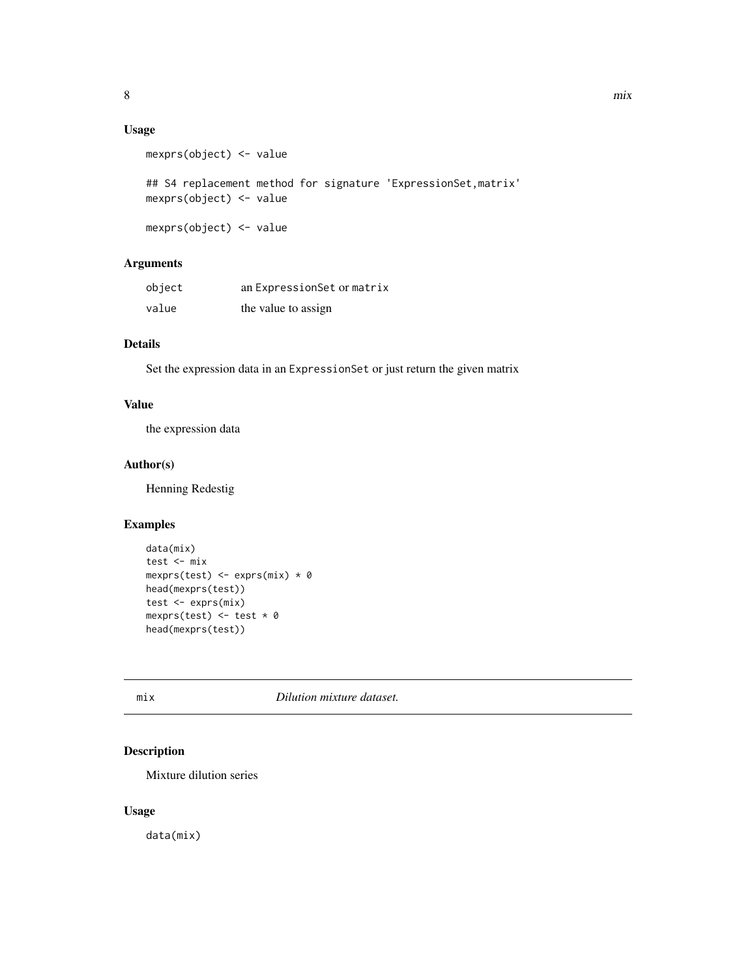# <span id="page-7-0"></span>Usage

```
mexprs(object) <- value
## S4 replacement method for signature 'ExpressionSet, matrix'
mexprs(object) <- value
mexprs(object) <- value
```
# Arguments

| object | an ExpressionSet or matrix |
|--------|----------------------------|
| value  | the value to assign        |

#### Details

Set the expression data in an ExpressionSet or just return the given matrix

#### Value

the expression data

# Author(s)

Henning Redestig

# Examples

```
data(mix)
test <- mix
mexprs(test) <- exprs(mix) * 0
head(mexprs(test))
test <- exprs(mix)
mexprs(test) \leq test \star 0
head(mexprs(test))
```
mix *Dilution mixture dataset.*

# Description

Mixture dilution series

#### Usage

data(mix)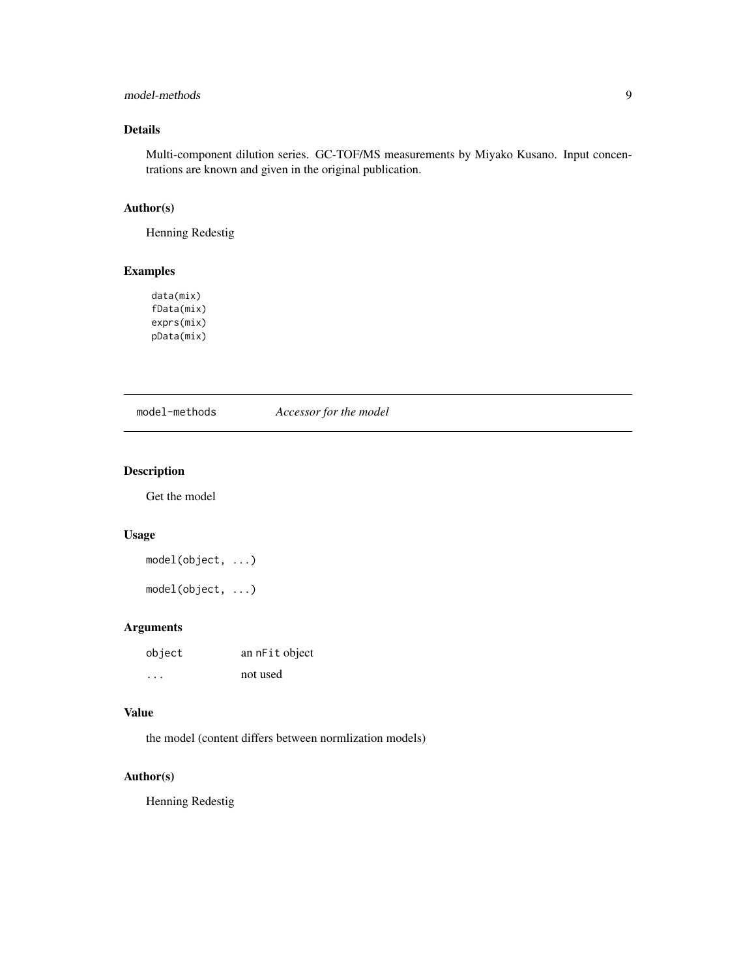# <span id="page-8-0"></span>model-methods 9

# Details

Multi-component dilution series. GC-TOF/MS measurements by Miyako Kusano. Input concentrations are known and given in the original publication.

#### Author(s)

Henning Redestig

# Examples

data(mix) fData(mix) exprs(mix) pData(mix)

model-methods *Accessor for the model*

# Description

Get the model

# Usage

```
model(object, ...)
```
model(object, ...)

# Arguments

| object                  | an nFit object |
|-------------------------|----------------|
| $\cdot$ $\cdot$ $\cdot$ | not used       |

# Value

the model (content differs between normlization models)

#### Author(s)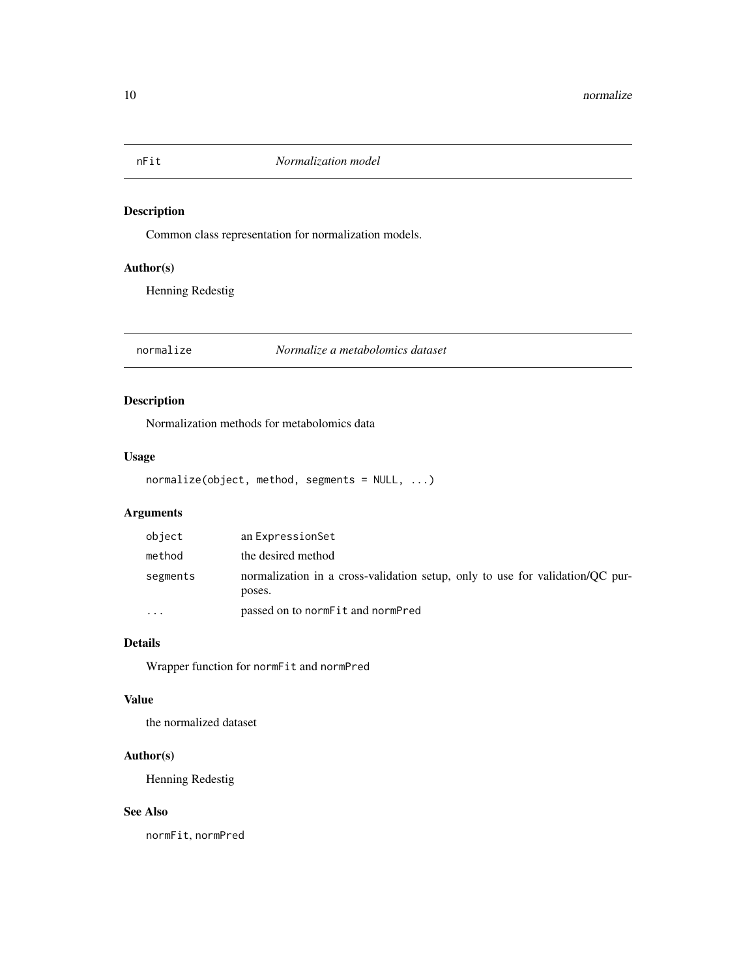<span id="page-9-0"></span>

Common class representation for normalization models.

# Author(s)

Henning Redestig

normalize *Normalize a metabolomics dataset*

# Description

Normalization methods for metabolomics data

#### Usage

```
normalize(object, method, segments = NULL, ...)
```
# Arguments

| object   | an ExpressionSet                                                                        |
|----------|-----------------------------------------------------------------------------------------|
| method   | the desired method                                                                      |
| segments | normalization in a cross-validation setup, only to use for validation/QC pur-<br>poses. |
| $\cdots$ | passed on to norm Fit and norm Pred                                                     |

#### Details

Wrapper function for normFit and normPred

# Value

the normalized dataset

# Author(s)

Henning Redestig

#### See Also

normFit, normPred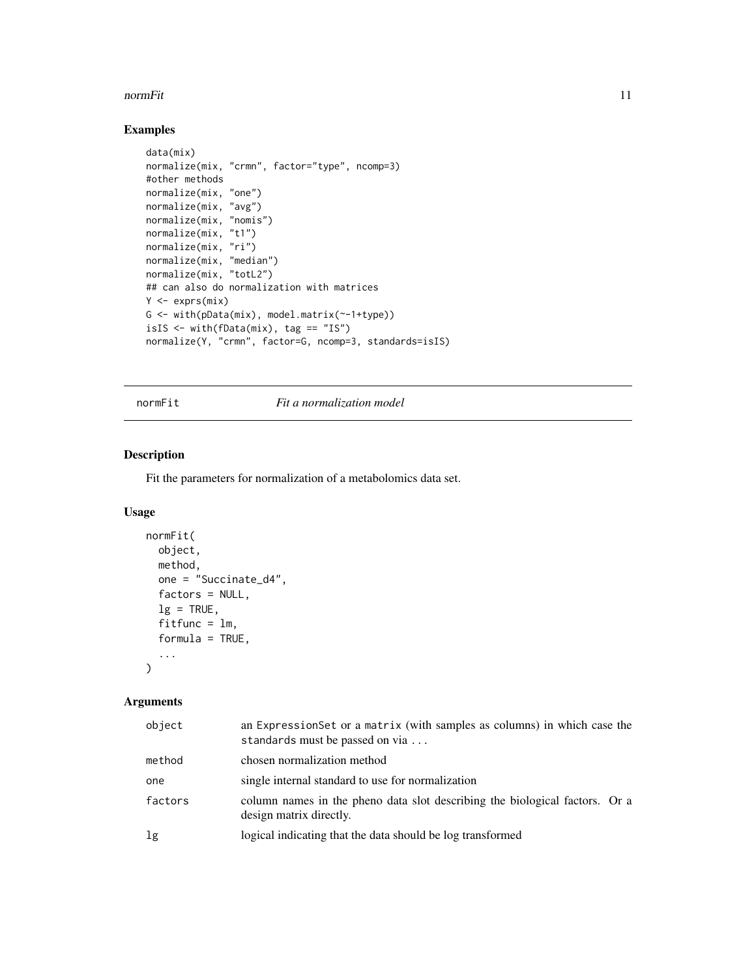#### <span id="page-10-0"></span>normFit 11

# Examples

```
data(mix)
normalize(mix, "crmn", factor="type", ncomp=3)
#other methods
normalize(mix, "one")
normalize(mix, "avg")
normalize(mix, "nomis")
normalize(mix, "t1")
normalize(mix, "ri")
normalize(mix, "median")
normalize(mix, "totL2")
## can also do normalization with matrices
Y <- exprs(mix)
G <- with(pData(mix), model.matrix(~-1+type))
isIS \le with(fData(mix), tag == "IS")
normalize(Y, "crmn", factor=G, ncomp=3, standards=isIS)
```
#### normFit *Fit a normalization model*

#### Description

Fit the parameters for normalization of a metabolomics data set.

#### Usage

```
normFit(
 object,
 method,
 one = "Succinate_d4",
  factors = NULL,
 lg = TRUE,fitfunc = lm,formula = TRUE,...
\mathcal{L}
```
# Arguments

| object  | an ExpressionSet or a matrix (with samples as columns) in which case the<br>standards must be passed on via |
|---------|-------------------------------------------------------------------------------------------------------------|
| method  | chosen normalization method                                                                                 |
| one     | single internal standard to use for normalization                                                           |
| factors | column names in the pheno data slot describing the biological factors. Or a<br>design matrix directly.      |
| lg      | logical indicating that the data should be log transformed                                                  |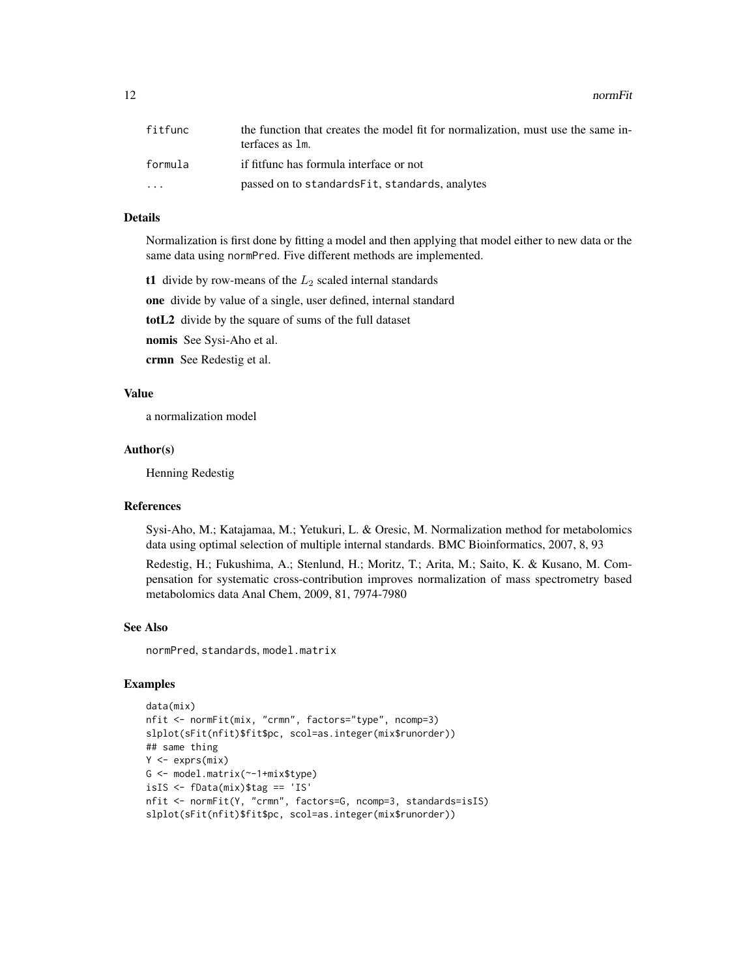12 normFit and the set of the set of the set of the set of the set of the set of the set of the set of the set of the set of the set of the set of the set of the set of the set of the set of the set of the set of the set o

| fitfunc   | the function that creates the model fit for normalization, must use the same in-<br>terfaces as 1m. |
|-----------|-----------------------------------------------------------------------------------------------------|
| formula   | if fitfunc has formula interface or not                                                             |
| $\ddotsc$ | passed on to standards Fit, standards, analytes                                                     |

#### Details

Normalization is first done by fitting a model and then applying that model either to new data or the same data using normPred. Five different methods are implemented.

t1 divide by row-means of the  $L_2$  scaled internal standards

one divide by value of a single, user defined, internal standard

totL2 divide by the square of sums of the full dataset

nomis See Sysi-Aho et al.

crmn See Redestig et al.

#### Value

a normalization model

#### Author(s)

Henning Redestig

#### References

Sysi-Aho, M.; Katajamaa, M.; Yetukuri, L. & Oresic, M. Normalization method for metabolomics data using optimal selection of multiple internal standards. BMC Bioinformatics, 2007, 8, 93

Redestig, H.; Fukushima, A.; Stenlund, H.; Moritz, T.; Arita, M.; Saito, K. & Kusano, M. Compensation for systematic cross-contribution improves normalization of mass spectrometry based metabolomics data Anal Chem, 2009, 81, 7974-7980

#### See Also

normPred, standards, model.matrix

#### Examples

```
data(mix)
nfit <- normFit(mix, "crmn", factors="type", ncomp=3)
slplot(sFit(nfit)$fit$pc, scol=as.integer(mix$runorder))
## same thing
Y \leftarrow \text{express}(\text{mix})G <- model.matrix(~-1+mix$type)
isIS <- fData(mix)$tag == 'IS'
nfit <- normFit(Y, "crmn", factors=G, ncomp=3, standards=isIS)
slplot(sFit(nfit)$fit$pc, scol=as.integer(mix$runorder))
```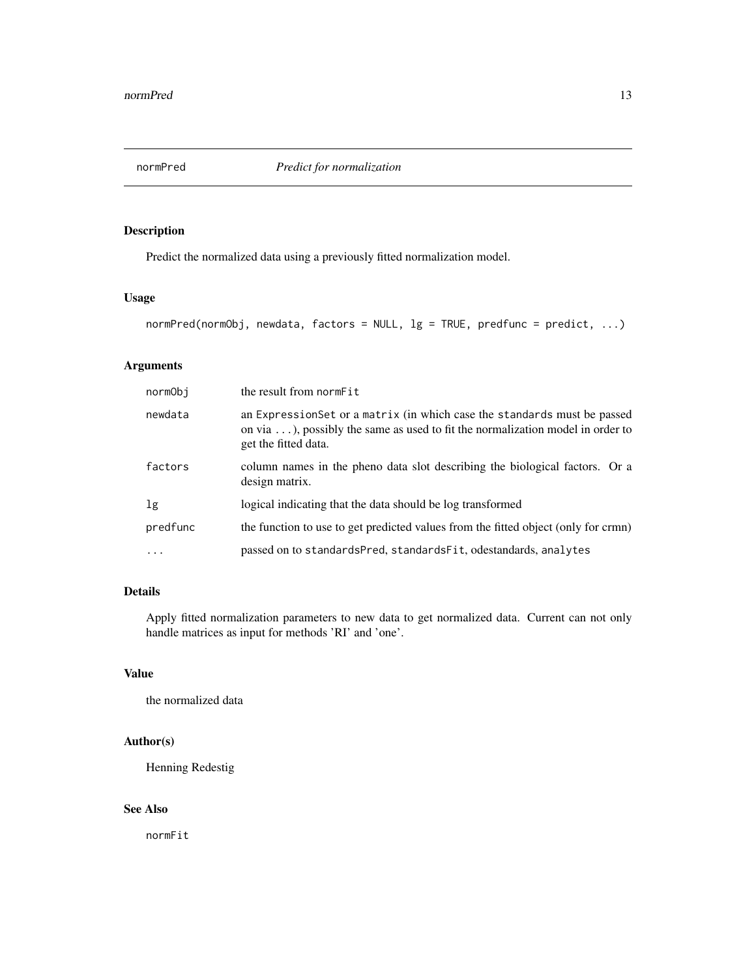<span id="page-12-0"></span>

Predict the normalized data using a previously fitted normalization model.

# Usage

```
normPred(normObj, newdata, factors = NULL, lg = TRUE, predfunc = predict, ...)
```
# Arguments

| normObi        | the result from normFit                                                                                                                                                                    |
|----------------|--------------------------------------------------------------------------------------------------------------------------------------------------------------------------------------------|
| newdata        | an ExpressionSet or a matrix (in which case the standards must be passed<br>on via $\dots$ ), possibly the same as used to fit the normalization model in order to<br>get the fitted data. |
| factors        | column names in the pheno data slot describing the biological factors. Or a<br>design matrix.                                                                                              |
| 1 <sub>g</sub> | logical indicating that the data should be log transformed                                                                                                                                 |
| predfunc       | the function to use to get predicted values from the fitted object (only for crmn)                                                                                                         |
|                | passed on to standardsPred, standardsFit, odestandards, analytes                                                                                                                           |

# Details

Apply fitted normalization parameters to new data to get normalized data. Current can not only handle matrices as input for methods 'RI' and 'one'.

#### Value

the normalized data

# Author(s)

Henning Redestig

# See Also

normFit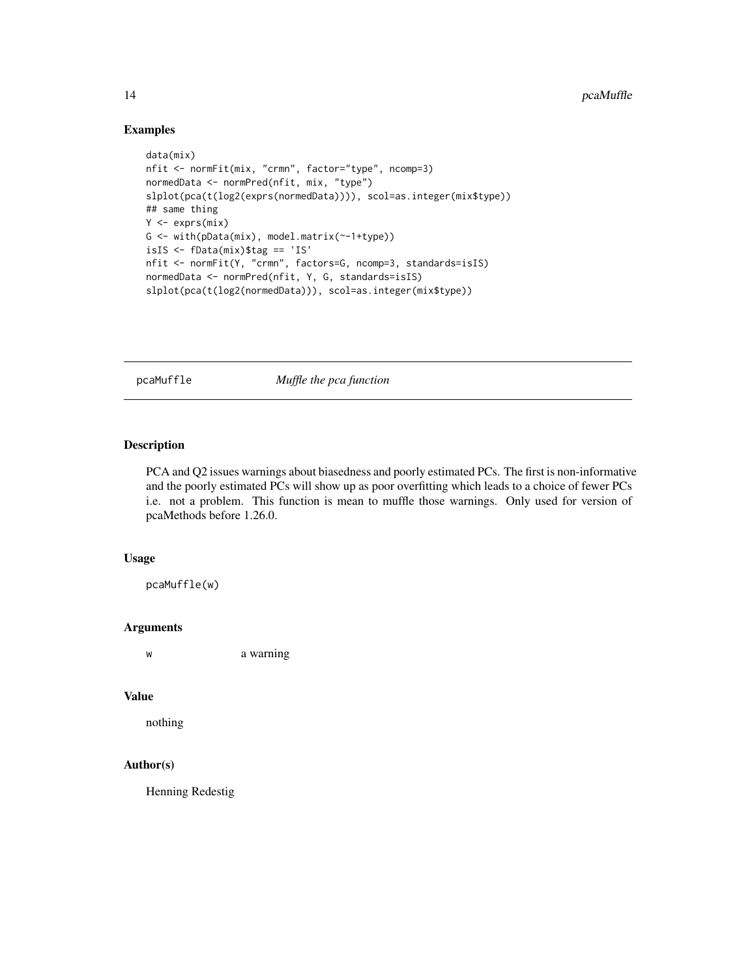#### Examples

```
data(mix)
nfit <- normFit(mix, "crmn", factor="type", ncomp=3)
normedData <- normPred(nfit, mix, "type")
slplot(pca(t(log2(exprs(normedData)))), scol=as.integer(mix$type))
## same thing
Y <- exprs(mix)
G <- with(pData(mix), model.matrix(~-1+type))
isIS <- fData(mix)$tag == 'IS'
nfit <- normFit(Y, "crmn", factors=G, ncomp=3, standards=isIS)
normedData <- normPred(nfit, Y, G, standards=isIS)
slplot(pca(t(log2(normedData))), scol=as.integer(mix$type))
```
pcaMuffle *Muffle the pca function*

#### Description

PCA and Q2 issues warnings about biasedness and poorly estimated PCs. The first is non-informative and the poorly estimated PCs will show up as poor overfitting which leads to a choice of fewer PCs i.e. not a problem. This function is mean to muffle those warnings. Only used for version of pcaMethods before 1.26.0.

#### Usage

pcaMuffle(w)

#### Arguments

w a warning

#### Value

nothing

#### Author(s)

<span id="page-13-0"></span>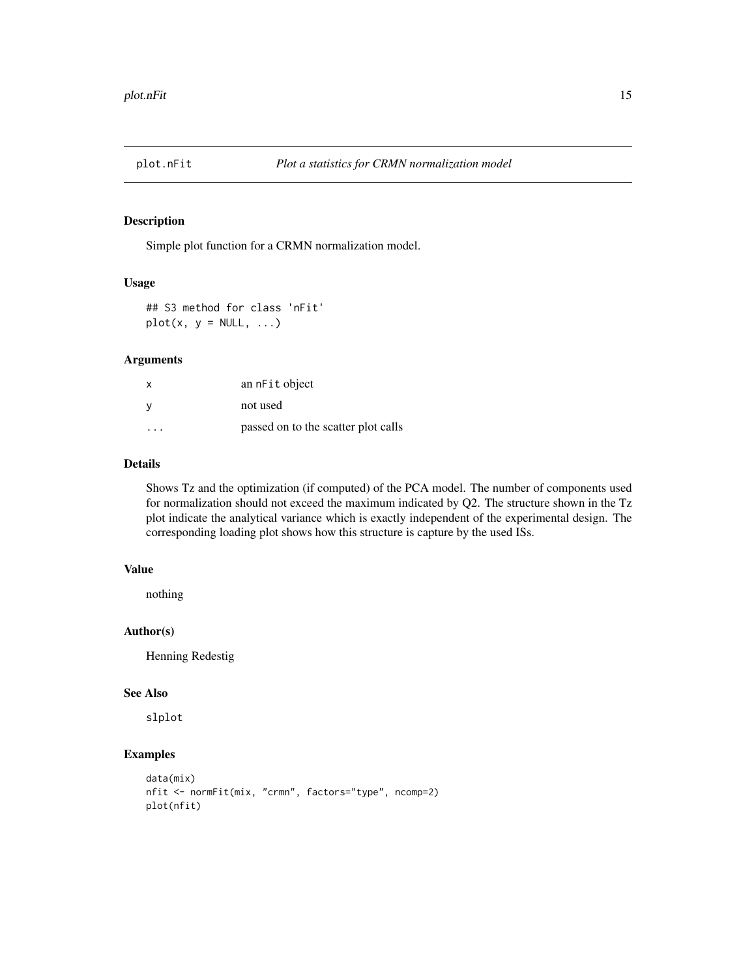<span id="page-14-0"></span>

Simple plot function for a CRMN normalization model.

#### Usage

## S3 method for class 'nFit'  $plot(x, y = NULL, ...)$ 

# Arguments

| x                       | an nFit object                      |
|-------------------------|-------------------------------------|
| v                       | not used                            |
| $\cdot$ $\cdot$ $\cdot$ | passed on to the scatter plot calls |

#### Details

Shows Tz and the optimization (if computed) of the PCA model. The number of components used for normalization should not exceed the maximum indicated by Q2. The structure shown in the Tz plot indicate the analytical variance which is exactly independent of the experimental design. The corresponding loading plot shows how this structure is capture by the used ISs.

# Value

nothing

# Author(s)

Henning Redestig

#### See Also

slplot

# Examples

```
data(mix)
nfit <- normFit(mix, "crmn", factors="type", ncomp=2)
plot(nfit)
```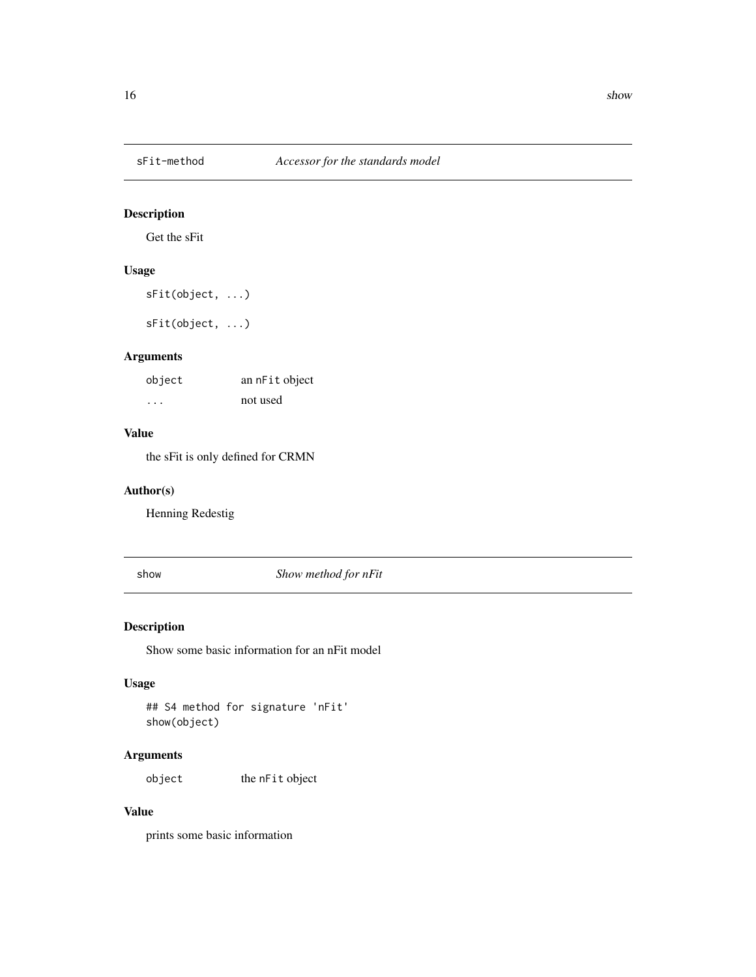<span id="page-15-0"></span>

Get the sFit

# Usage

sFit(object, ...)

sFit(object, ...)

# Arguments

| object | an nFit object |
|--------|----------------|
| .      | not used       |

#### Value

the sFit is only defined for CRMN

# Author(s)

Henning Redestig

show *Show method for nFit*

# Description

Show some basic information for an nFit model

# Usage

## S4 method for signature 'nFit' show(object)

# Arguments

object the nFit object

#### Value

prints some basic information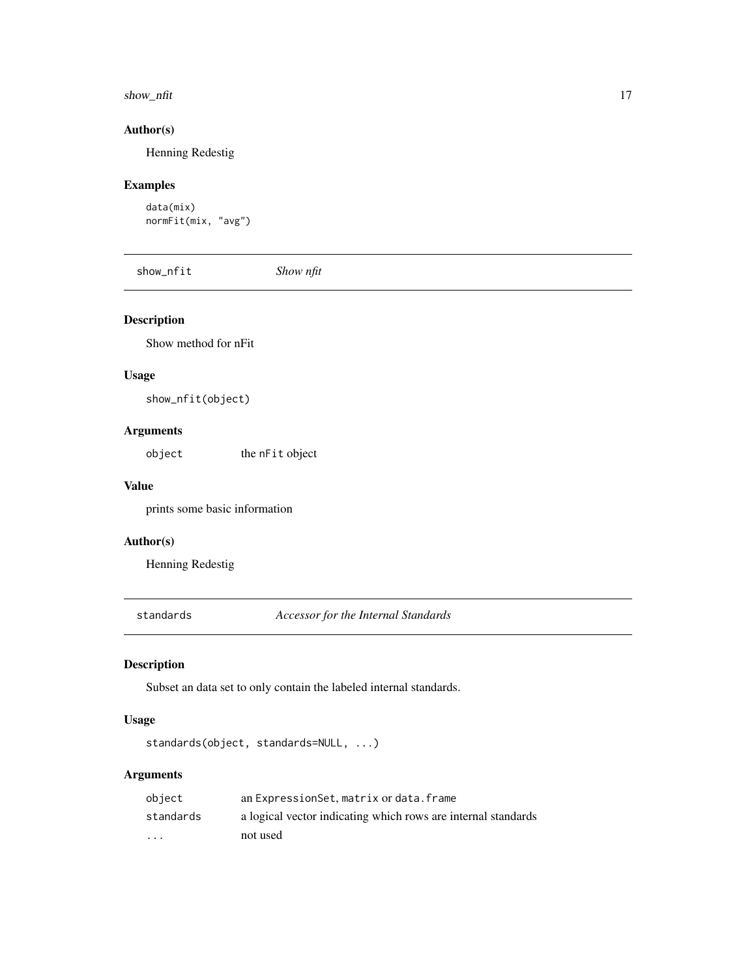#### <span id="page-16-0"></span>show\_nfit 17

#### Author(s)

Henning Redestig

# Examples

```
data(mix)
normFit(mix, "avg")
```
show\_nfit *Show nfit*

# Description

Show method for nFit

#### Usage

show\_nfit(object)

# Arguments

object the nFit object

#### Value

prints some basic information

# Author(s)

Henning Redestig

standards *Accessor for the Internal Standards*

# Description

Subset an data set to only contain the labeled internal standards.

#### Usage

```
standards(object, standards=NULL, ...)
```
# Arguments

| object    | an ExpressionSet, matrix or data. frame                       |
|-----------|---------------------------------------------------------------|
| standards | a logical vector indicating which rows are internal standards |
| $\cdot$   | not used                                                      |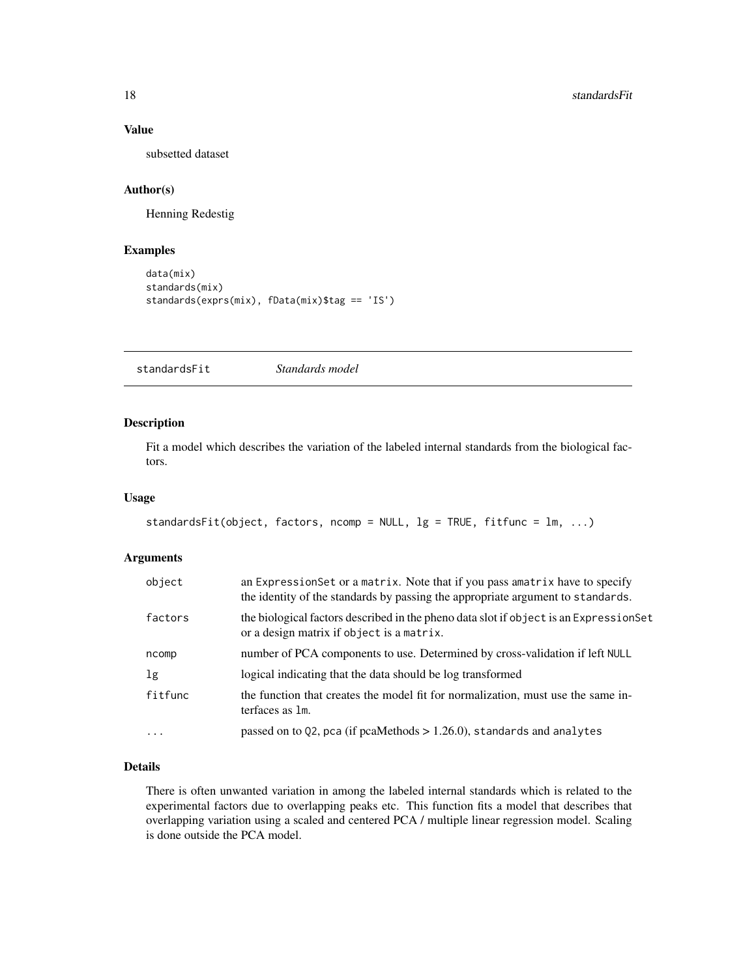# Value

subsetted dataset

# Author(s)

Henning Redestig

# Examples

```
data(mix)
standards(mix)
standards(exprs(mix), fData(mix)$tag == 'IS')
```
standardsFit *Standards model*

#### Description

Fit a model which describes the variation of the labeled internal standards from the biological factors.

#### Usage

```
standardsFit(object, factors, ncomp = NULL, lg = TRUE, fitfunc = lm, ...)
```
#### Arguments

| object         | an Expression Set or a matrix. Note that if you pass amatrix have to specify<br>the identity of the standards by passing the appropriate argument to standards. |
|----------------|-----------------------------------------------------------------------------------------------------------------------------------------------------------------|
| factors        | the biological factors described in the pheno data slot if object is an ExpressionSet<br>or a design matrix if object is a matrix.                              |
| ncomp          | number of PCA components to use. Determined by cross-validation if left NULL                                                                                    |
| 1 <sub>g</sub> | logical indicating that the data should be log transformed                                                                                                      |
| fitfunc        | the function that creates the model fit for normalization, must use the same in-<br>terfaces as 1m.                                                             |
| $\ddots$ .     | passed on to Q2, pca (if pcaMethods $> 1.26.0$ ), standards and analytes                                                                                        |
|                |                                                                                                                                                                 |

#### Details

There is often unwanted variation in among the labeled internal standards which is related to the experimental factors due to overlapping peaks etc. This function fits a model that describes that overlapping variation using a scaled and centered PCA / multiple linear regression model. Scaling is done outside the PCA model.

<span id="page-17-0"></span>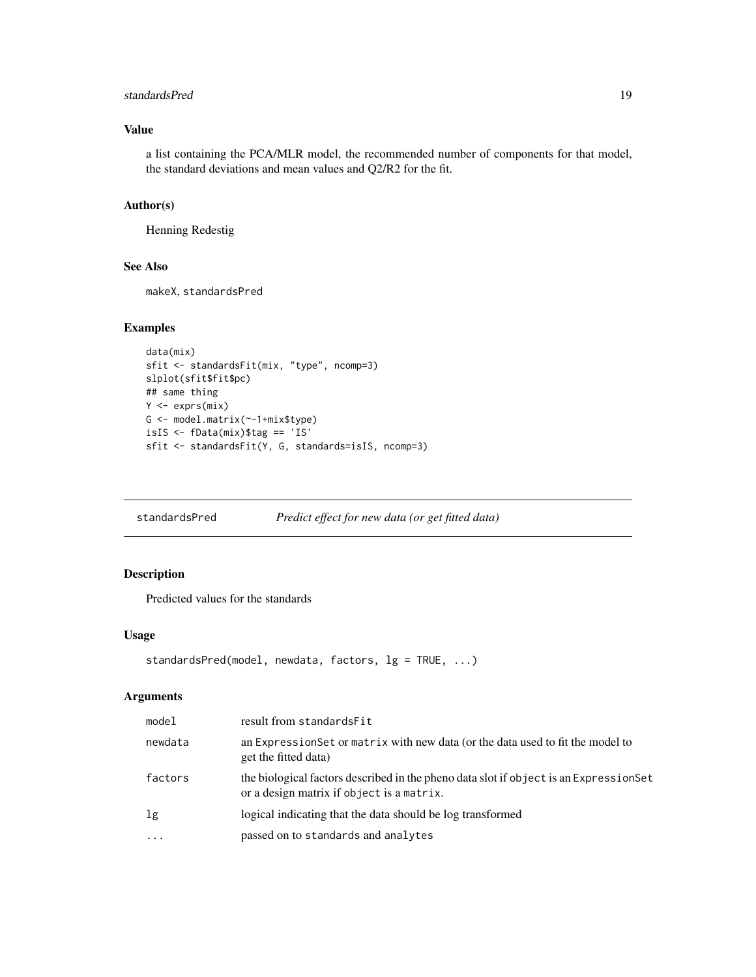# <span id="page-18-0"></span>standardsPred 19

# Value

a list containing the PCA/MLR model, the recommended number of components for that model, the standard deviations and mean values and Q2/R2 for the fit.

#### Author(s)

Henning Redestig

#### See Also

makeX, standardsPred

#### Examples

```
data(mix)
sfit <- standardsFit(mix, "type", ncomp=3)
slplot(sfit$fit$pc)
## same thing
Y <- exprs(mix)
G <- model.matrix(~-1+mix$type)
isIS <- fData(mix)$tag == 'IS'
sfit <- standardsFit(Y, G, standards=isIS, ncomp=3)
```
standardsPred *Predict effect for new data (or get fitted data)*

# Description

Predicted values for the standards

#### Usage

```
standardsPred(model, newdata, factors, lg = TRUE, ...)
```
#### Arguments

| model      | result from standardsFit                                                                                                           |
|------------|------------------------------------------------------------------------------------------------------------------------------------|
| newdata    | an Expression Set or matrix with new data (or the data used to fit the model to<br>get the fitted data)                            |
| factors    | the biological factors described in the pheno data slot if object is an ExpressionSet<br>or a design matrix if object is a matrix. |
| lg         | logical indicating that the data should be log transformed                                                                         |
| $\ddots$ . | passed on to standards and analytes                                                                                                |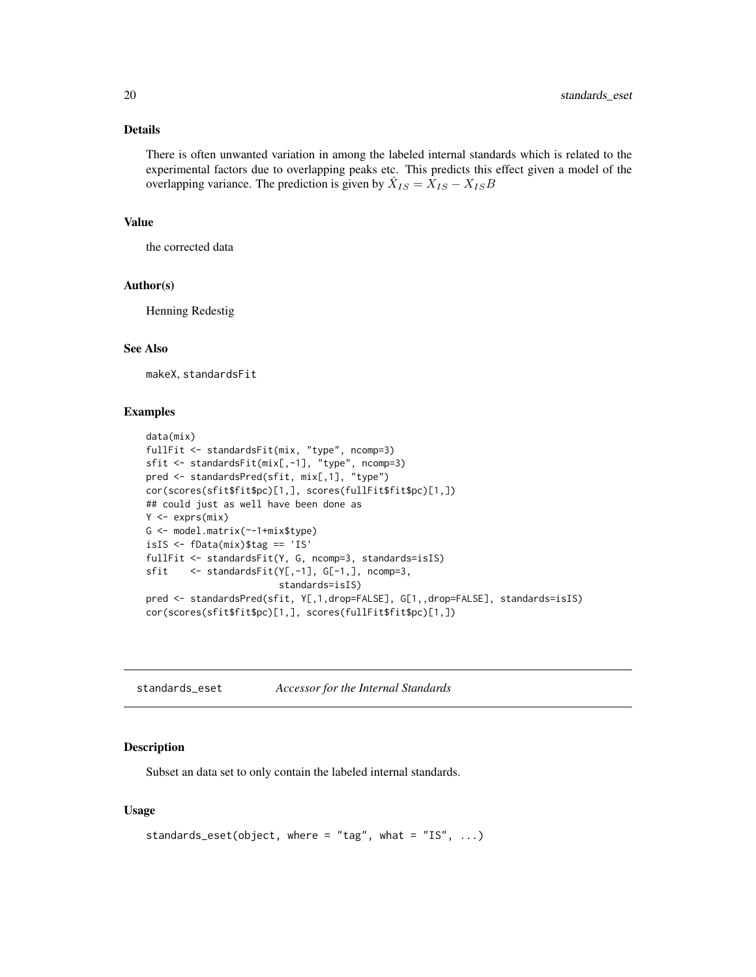#### <span id="page-19-0"></span>Details

There is often unwanted variation in among the labeled internal standards which is related to the experimental factors due to overlapping peaks etc. This predicts this effect given a model of the overlapping variance. The prediction is given by  $\hat{X}_{IS} = \hat{X}_{IS} - X_{IS}B$ 

#### Value

the corrected data

#### Author(s)

Henning Redestig

#### See Also

makeX, standardsFit

#### Examples

```
data(mix)
fullFit <- standardsFit(mix, "type", ncomp=3)
sfit <- standardsFit(mix[,-1], "type", ncomp=3)
pred <- standardsPred(sfit, mix[,1], "type")
cor(scores(sfit$fit$pc)[1,], scores(fullFit$fit$pc)[1,])
## could just as well have been done as
Y \leftarrow \text{express}(\text{mix})G <- model.matrix(~-1+mix$type)
isIS <- fData(mix)$tag == 'IS'
fullFit <- standardsFit(Y, G, ncomp=3, standards=isIS)
sfit <- standardsFit(Y[,-1], G[-1,], ncomp=3,
                         standards=isIS)
pred <- standardsPred(sfit, Y[,1,drop=FALSE], G[1,,drop=FALSE], standards=isIS)
cor(scores(sfit$fit$pc)[1,], scores(fullFit$fit$pc)[1,])
```
standards\_eset *Accessor for the Internal Standards*

#### Description

Subset an data set to only contain the labeled internal standards.

#### Usage

```
standards_eset(object, where = "tag", what = "IS", \dots)
```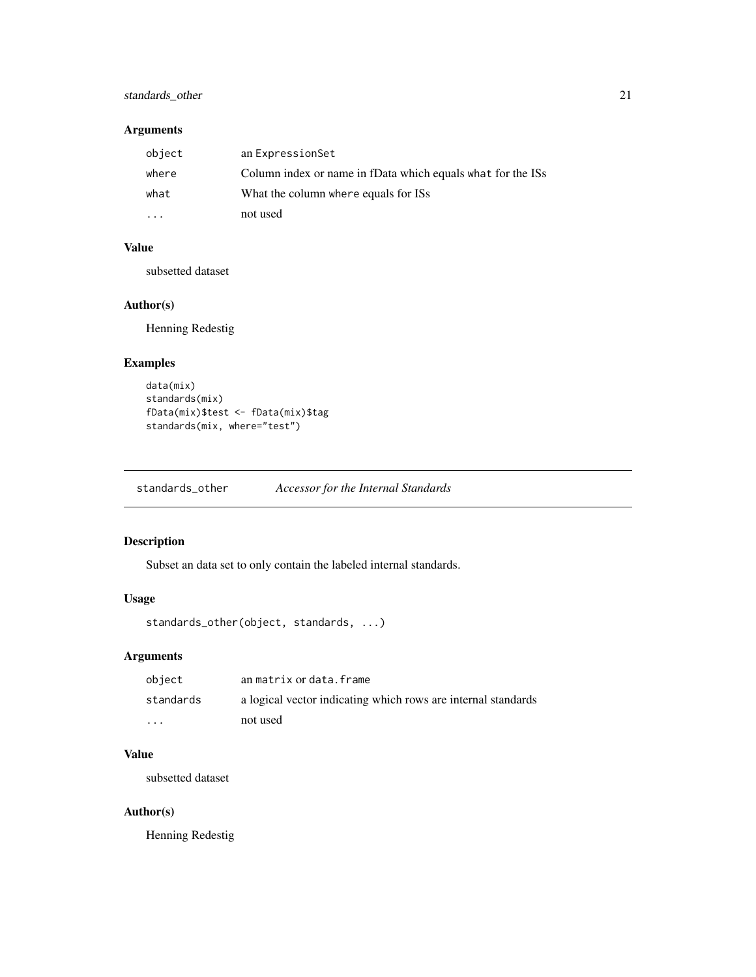# <span id="page-20-0"></span>standards\_other 21

# Arguments

| object | an ExpressionSet                                            |
|--------|-------------------------------------------------------------|
| where  | Column index or name in fData which equals what for the ISs |
| what   | What the column where equals for ISs                        |
|        | not used                                                    |

#### Value

subsetted dataset

# Author(s)

Henning Redestig

# Examples

```
data(mix)
standards(mix)
fData(mix)$test <- fData(mix)$tag
standards(mix, where="test")
```
standards\_other *Accessor for the Internal Standards*

# Description

Subset an data set to only contain the labeled internal standards.

# Usage

```
standards_other(object, standards, ...)
```
# Arguments

| object    | an matrix or data.frame                                       |
|-----------|---------------------------------------------------------------|
| standards | a logical vector indicating which rows are internal standards |
| .         | not used                                                      |

# Value

subsetted dataset

# Author(s)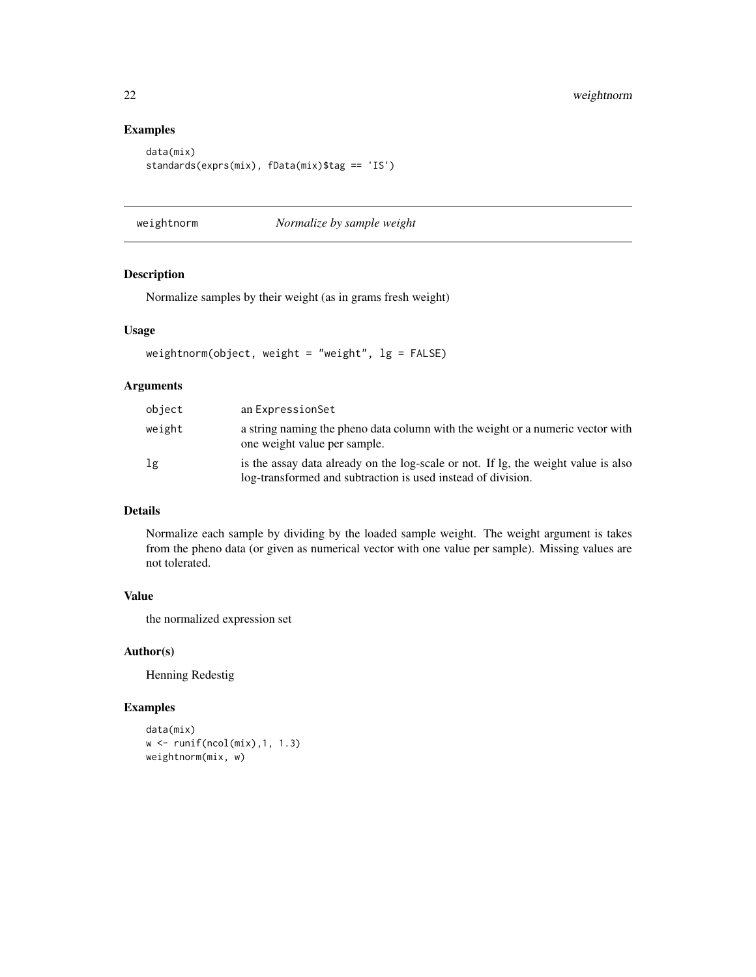#### Examples

```
data(mix)
standards(exprs(mix), fData(mix)$tag == 'IS')
```
weightnorm *Normalize by sample weight*

# Description

Normalize samples by their weight (as in grams fresh weight)

#### Usage

```
weightnorm(object, weight = "weight", \lg = FALSE)
```
# Arguments

| object | an ExpressionSet                                                                                                                                   |
|--------|----------------------------------------------------------------------------------------------------------------------------------------------------|
| weight | a string naming the pheno data column with the weight or a numeric vector with<br>one weight value per sample.                                     |
| 1g     | is the assay data already on the log-scale or not. If lg, the weight value is also<br>log-transformed and subtraction is used instead of division. |

# Details

Normalize each sample by dividing by the loaded sample weight. The weight argument is takes from the pheno data (or given as numerical vector with one value per sample). Missing values are not tolerated.

#### Value

the normalized expression set

#### Author(s)

Henning Redestig

#### Examples

```
data(mix)
w <- runif(ncol(mix),1, 1.3)
weightnorm(mix, w)
```
<span id="page-21-0"></span>